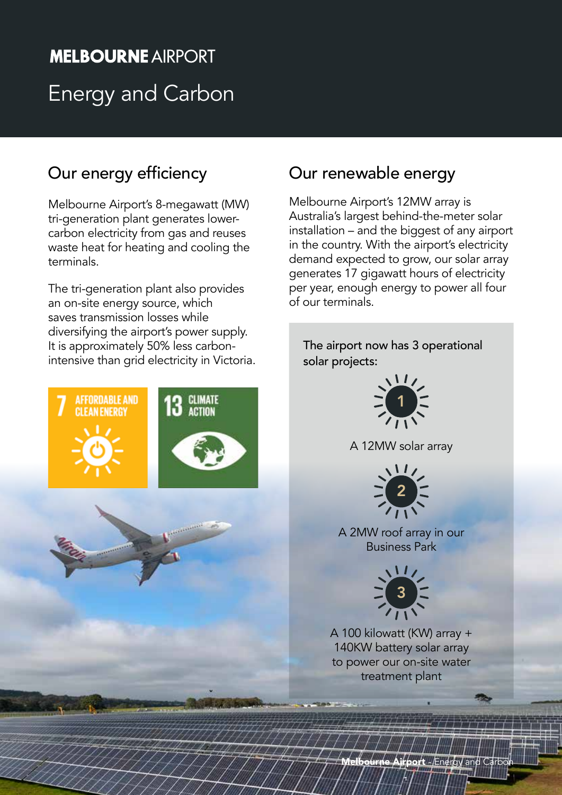# **MELBOURNE AIRPORT** Energy and Carbon

# Our energy efficiency

Melbourne Airport's 8-megawatt (MW) tri-generation plant generates lowercarbon electricity from gas and reuses waste heat for heating and cooling the terminals.

The tri-generation plant also provides an on-site energy source, which saves transmission losses while diversifying the airport's power supply. It is approximately 50% less carbonintensive than grid electricity in Victoria.





# Our renewable energy

Melbourne Airport's 12MW array is Australia's largest behind-the-meter solar installation – and the biggest of any airport in the country. With the airport's electricity demand expected to grow, our solar array generates 17 gigawatt hours of electricity per year, enough energy to power all four of our terminals.

The airport now has 3 operational solar projects:



A 12MW solar array



A 2MW roof array in our Business Park



A 100 kilowatt (KW) array + 140KW battery solar array to power our on-site water treatment plant

**Airport - Energy and Carb**